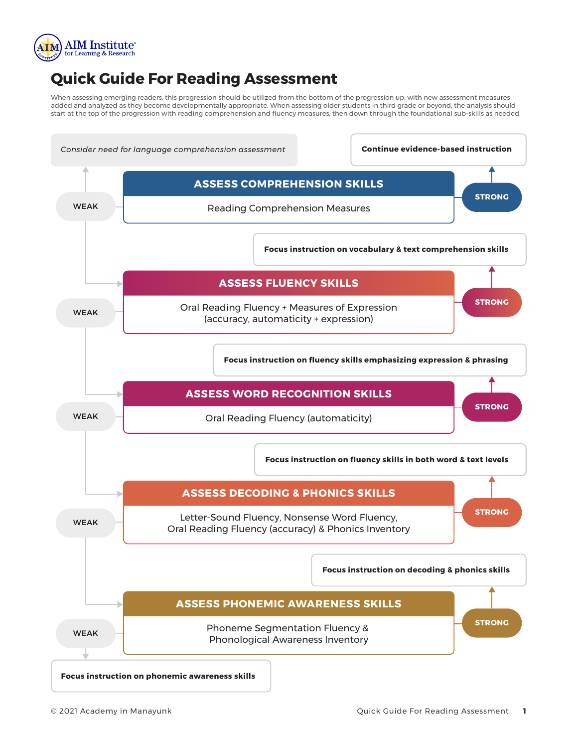

## **Quick Guide For Reading Assessment**

When assessing emerging readers, this progression should be utilized from the bottom of the progression up, with new assessment measures added and analyzed as they become developmentally appropriate. When assessing older students in third grade or beyond, the analysis should start at the top of the progression with reading comprehension and fluency measures, then down through the foundational sub-skills as needed.

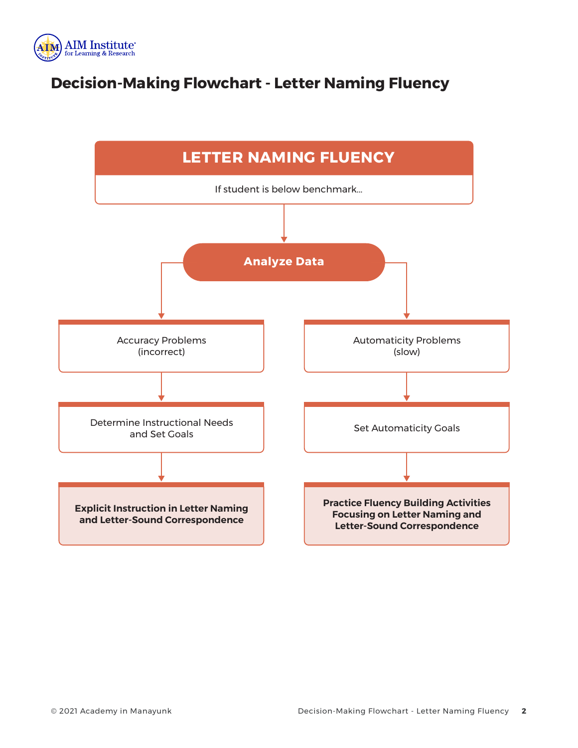

# **Decision-Making Flowchart - Letter Naming Fluency**

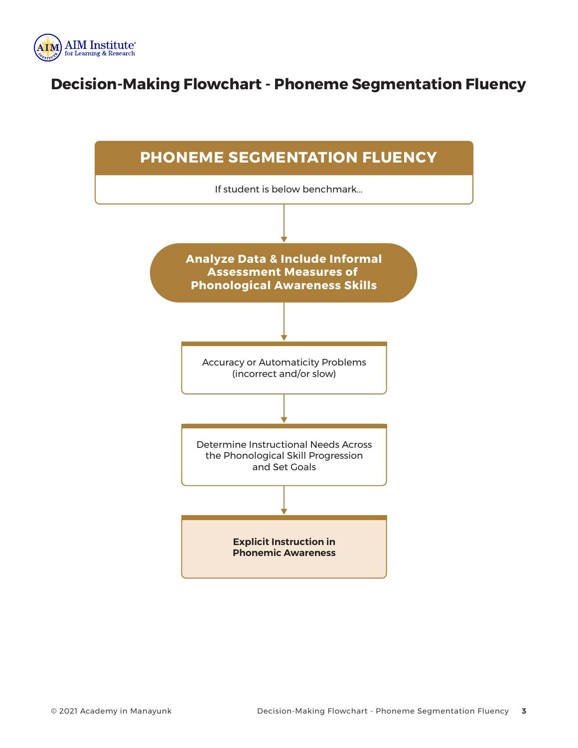

#### **Decision-Making Flowchart - Phoneme Segmentation Fluency**

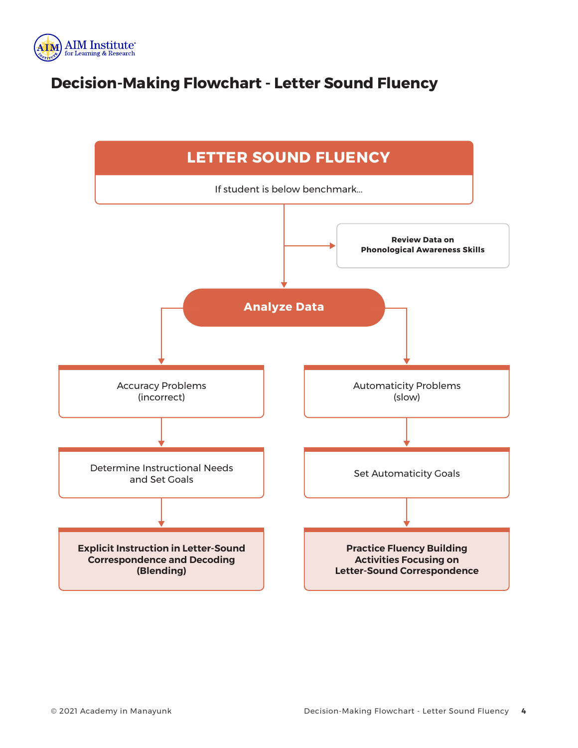

# **Decision-Making Flowchart - Letter Sound Fluency**

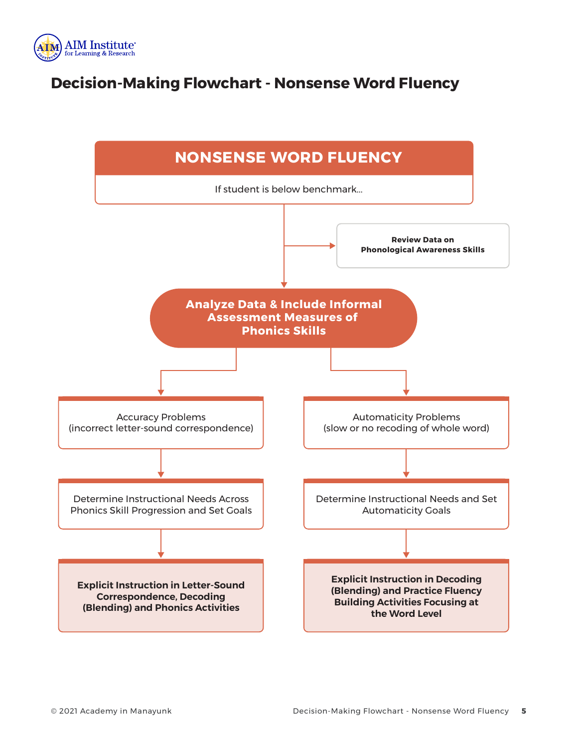

## **Decision-Making Flowchart - Nonsense Word Fluency**